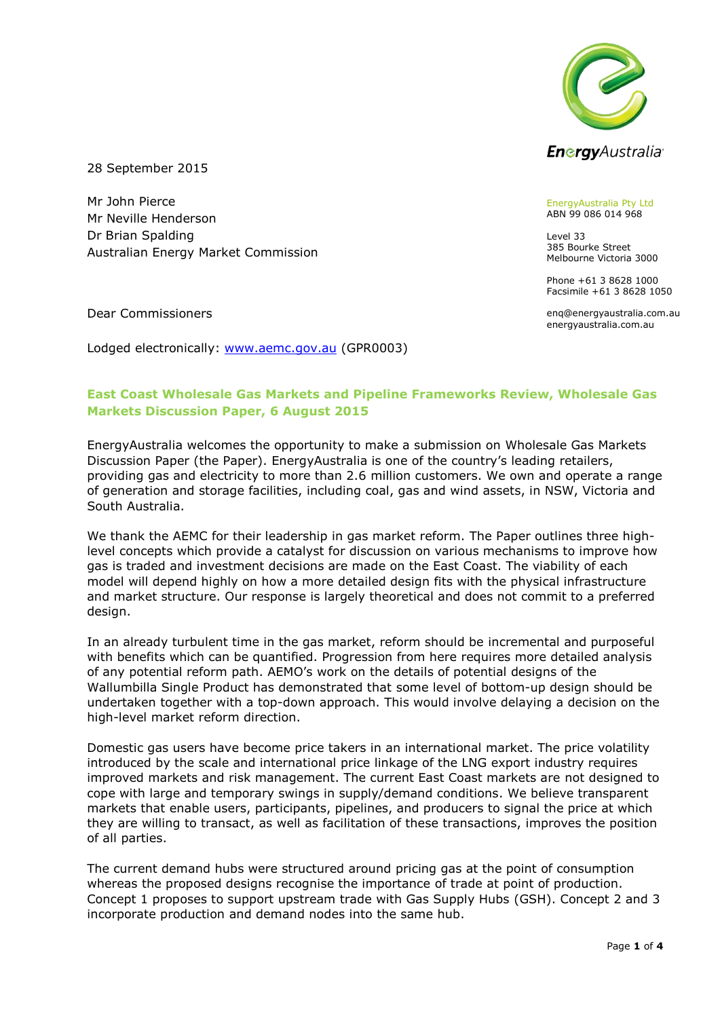

28 September 2015

Mr John Pierce Mr Neville Henderson Dr Brian Spalding Australian Energy Market Commission

EnergyAustralia Pty Ltd ABN 99 086 014 968

Level 33 385 Bourke Street Melbourne Victoria 3000

Phone +61 3 8628 1000 Facsimile +61 3 8628 1050

enq@energyaustralia.com.au energyaustralia.com.au

Dear Commissioners

Lodged electronically: [www.aemc.gov.au](http://www.aemc.gov.au/) (GPR0003)

## **East Coast Wholesale Gas Markets and Pipeline Frameworks Review, Wholesale Gas Markets Discussion Paper, 6 August 2015**

EnergyAustralia welcomes the opportunity to make a submission on Wholesale Gas Markets Discussion Paper (the Paper). EnergyAustralia is one of the country's leading retailers, providing gas and electricity to more than 2.6 million customers. We own and operate a range of generation and storage facilities, including coal, gas and wind assets, in NSW, Victoria and South Australia.

We thank the AEMC for their leadership in gas market reform. The Paper outlines three highlevel concepts which provide a catalyst for discussion on various mechanisms to improve how gas is traded and investment decisions are made on the East Coast. The viability of each model will depend highly on how a more detailed design fits with the physical infrastructure and market structure. Our response is largely theoretical and does not commit to a preferred design.

In an already turbulent time in the gas market, reform should be incremental and purposeful with benefits which can be quantified. Progression from here requires more detailed analysis of any potential reform path. AEMO's work on the details of potential designs of the Wallumbilla Single Product has demonstrated that some level of bottom-up design should be undertaken together with a top-down approach. This would involve delaying a decision on the high-level market reform direction.

Domestic gas users have become price takers in an international market. The price volatility introduced by the scale and international price linkage of the LNG export industry requires improved markets and risk management. The current East Coast markets are not designed to cope with large and temporary swings in supply/demand conditions. We believe transparent markets that enable users, participants, pipelines, and producers to signal the price at which they are willing to transact, as well as facilitation of these transactions, improves the position of all parties.

The current demand hubs were structured around pricing gas at the point of consumption whereas the proposed designs recognise the importance of trade at point of production. Concept 1 proposes to support upstream trade with Gas Supply Hubs (GSH). Concept 2 and 3 incorporate production and demand nodes into the same hub.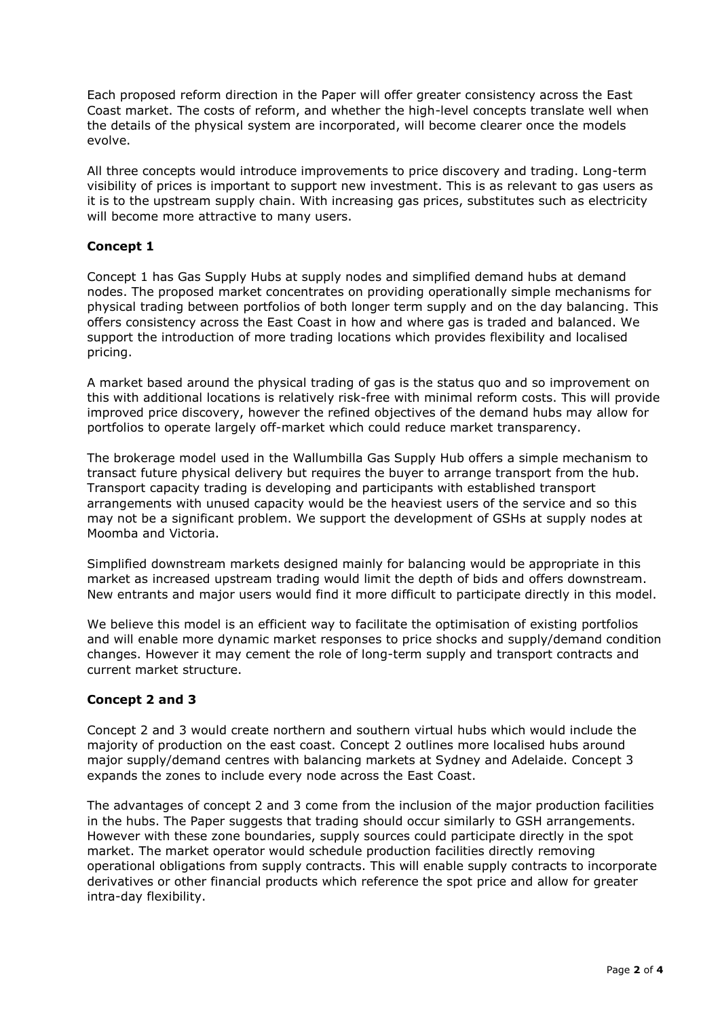Each proposed reform direction in the Paper will offer greater consistency across the East Coast market. The costs of reform, and whether the high-level concepts translate well when the details of the physical system are incorporated, will become clearer once the models evolve.

All three concepts would introduce improvements to price discovery and trading. Long-term visibility of prices is important to support new investment. This is as relevant to gas users as it is to the upstream supply chain. With increasing gas prices, substitutes such as electricity will become more attractive to many users.

# **Concept 1**

Concept 1 has Gas Supply Hubs at supply nodes and simplified demand hubs at demand nodes. The proposed market concentrates on providing operationally simple mechanisms for physical trading between portfolios of both longer term supply and on the day balancing. This offers consistency across the East Coast in how and where gas is traded and balanced. We support the introduction of more trading locations which provides flexibility and localised pricing.

A market based around the physical trading of gas is the status quo and so improvement on this with additional locations is relatively risk-free with minimal reform costs. This will provide improved price discovery, however the refined objectives of the demand hubs may allow for portfolios to operate largely off-market which could reduce market transparency.

The brokerage model used in the Wallumbilla Gas Supply Hub offers a simple mechanism to transact future physical delivery but requires the buyer to arrange transport from the hub. Transport capacity trading is developing and participants with established transport arrangements with unused capacity would be the heaviest users of the service and so this may not be a significant problem. We support the development of GSHs at supply nodes at Moomba and Victoria.

Simplified downstream markets designed mainly for balancing would be appropriate in this market as increased upstream trading would limit the depth of bids and offers downstream. New entrants and major users would find it more difficult to participate directly in this model.

We believe this model is an efficient way to facilitate the optimisation of existing portfolios and will enable more dynamic market responses to price shocks and supply/demand condition changes. However it may cement the role of long-term supply and transport contracts and current market structure.

## **Concept 2 and 3**

Concept 2 and 3 would create northern and southern virtual hubs which would include the majority of production on the east coast. Concept 2 outlines more localised hubs around major supply/demand centres with balancing markets at Sydney and Adelaide. Concept 3 expands the zones to include every node across the East Coast.

The advantages of concept 2 and 3 come from the inclusion of the major production facilities in the hubs. The Paper suggests that trading should occur similarly to GSH arrangements. However with these zone boundaries, supply sources could participate directly in the spot market. The market operator would schedule production facilities directly removing operational obligations from supply contracts. This will enable supply contracts to incorporate derivatives or other financial products which reference the spot price and allow for greater intra-day flexibility.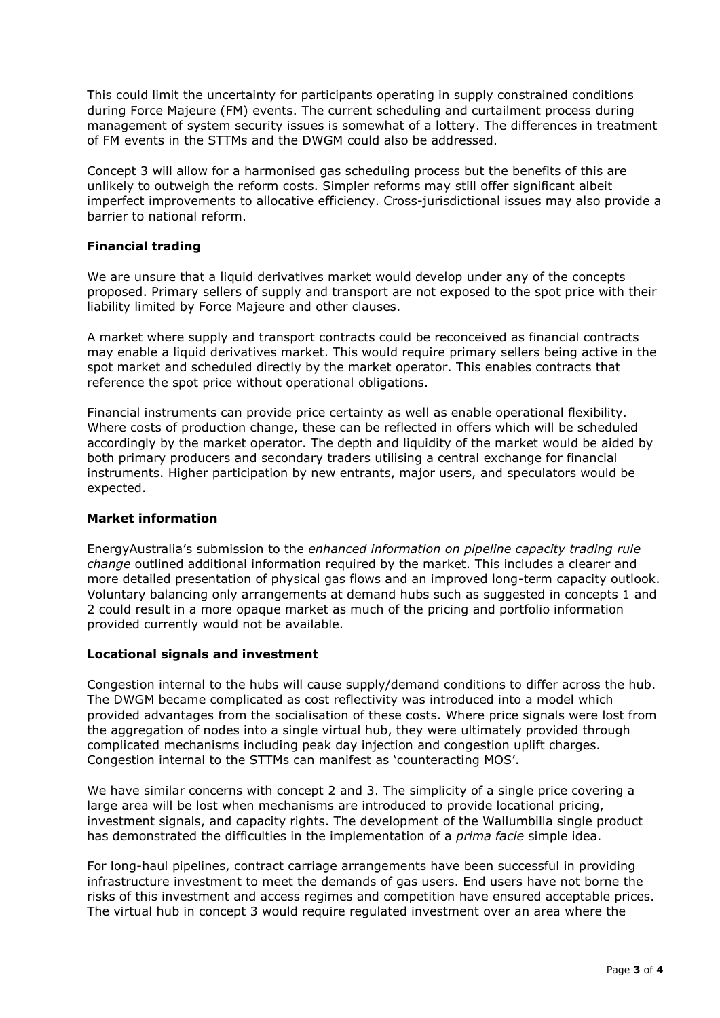This could limit the uncertainty for participants operating in supply constrained conditions during Force Majeure (FM) events. The current scheduling and curtailment process during management of system security issues is somewhat of a lottery. The differences in treatment of FM events in the STTMs and the DWGM could also be addressed.

Concept 3 will allow for a harmonised gas scheduling process but the benefits of this are unlikely to outweigh the reform costs. Simpler reforms may still offer significant albeit imperfect improvements to allocative efficiency. Cross-jurisdictional issues may also provide a barrier to national reform.

## **Financial trading**

We are unsure that a liquid derivatives market would develop under any of the concepts proposed. Primary sellers of supply and transport are not exposed to the spot price with their liability limited by Force Majeure and other clauses.

A market where supply and transport contracts could be reconceived as financial contracts may enable a liquid derivatives market. This would require primary sellers being active in the spot market and scheduled directly by the market operator. This enables contracts that reference the spot price without operational obligations.

Financial instruments can provide price certainty as well as enable operational flexibility. Where costs of production change, these can be reflected in offers which will be scheduled accordingly by the market operator. The depth and liquidity of the market would be aided by both primary producers and secondary traders utilising a central exchange for financial instruments. Higher participation by new entrants, major users, and speculators would be expected.

#### **Market information**

EnergyAustralia's submission to the *enhanced information on pipeline capacity trading rule change* outlined additional information required by the market. This includes a clearer and more detailed presentation of physical gas flows and an improved long-term capacity outlook. Voluntary balancing only arrangements at demand hubs such as suggested in concepts 1 and 2 could result in a more opaque market as much of the pricing and portfolio information provided currently would not be available.

#### **Locational signals and investment**

Congestion internal to the hubs will cause supply/demand conditions to differ across the hub. The DWGM became complicated as cost reflectivity was introduced into a model which provided advantages from the socialisation of these costs. Where price signals were lost from the aggregation of nodes into a single virtual hub, they were ultimately provided through complicated mechanisms including peak day injection and congestion uplift charges. Congestion internal to the STTMs can manifest as 'counteracting MOS'.

We have similar concerns with concept 2 and 3. The simplicity of a single price covering a large area will be lost when mechanisms are introduced to provide locational pricing, investment signals, and capacity rights. The development of the Wallumbilla single product has demonstrated the difficulties in the implementation of a *prima facie* simple idea.

For long-haul pipelines, contract carriage arrangements have been successful in providing infrastructure investment to meet the demands of gas users. End users have not borne the risks of this investment and access regimes and competition have ensured acceptable prices. The virtual hub in concept 3 would require regulated investment over an area where the